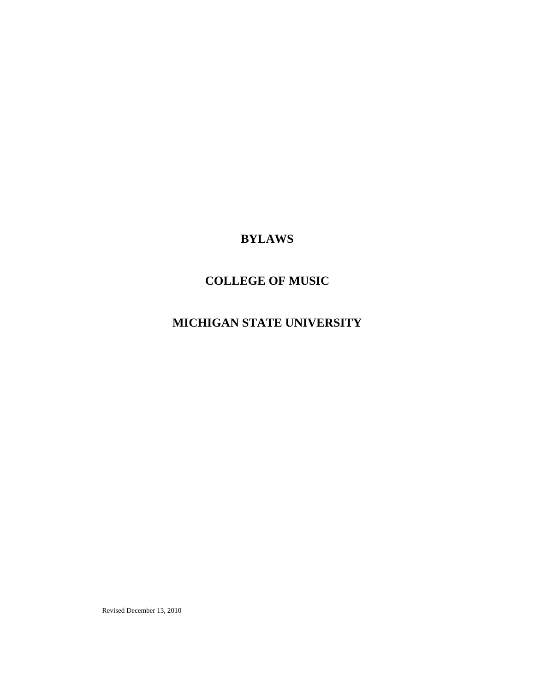# **BYLAWS**

# **COLLEGE OF MUSIC**

# **MICHIGAN STATE UNIVERSITY**

Revised December 13, 2010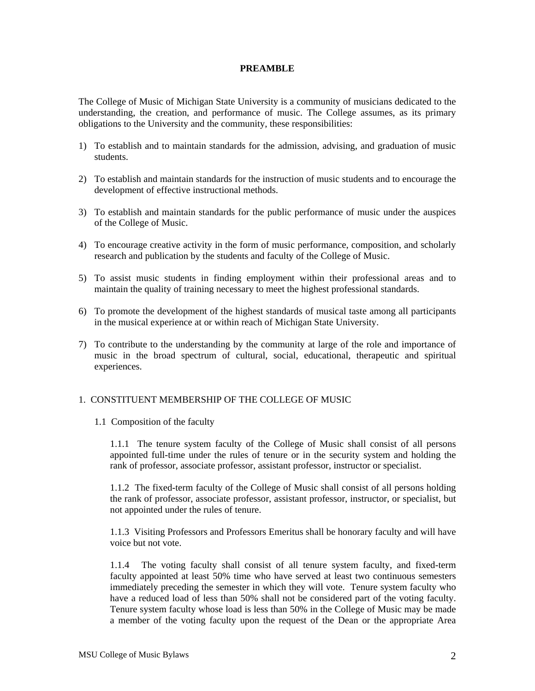## **PREAMBLE**

The College of Music of Michigan State University is a community of musicians dedicated to the understanding, the creation, and performance of music. The College assumes, as its primary obligations to the University and the community, these responsibilities:

- 1) To establish and to maintain standards for the admission, advising, and graduation of music students.
- 2) To establish and maintain standards for the instruction of music students and to encourage the development of effective instructional methods.
- 3) To establish and maintain standards for the public performance of music under the auspices of the College of Music.
- 4) To encourage creative activity in the form of music performance, composition, and scholarly research and publication by the students and faculty of the College of Music.
- 5) To assist music students in finding employment within their professional areas and to maintain the quality of training necessary to meet the highest professional standards.
- 6) To promote the development of the highest standards of musical taste among all participants in the musical experience at or within reach of Michigan State University.
- 7) To contribute to the understanding by the community at large of the role and importance of music in the broad spectrum of cultural, social, educational, therapeutic and spiritual experiences.

## 1. CONSTITUENT MEMBERSHIP OF THE COLLEGE OF MUSIC

1.1 Composition of the faculty

1.1.1 The tenure system faculty of the College of Music shall consist of all persons appointed full-time under the rules of tenure or in the security system and holding the rank of professor, associate professor, assistant professor, instructor or specialist.

1.1.2 The fixed-term faculty of the College of Music shall consist of all persons holding the rank of professor, associate professor, assistant professor, instructor, or specialist, but not appointed under the rules of tenure.

1.1.3 Visiting Professors and Professors Emeritus shall be honorary faculty and will have voice but not vote.

1.1.4 The voting faculty shall consist of all tenure system faculty, and fixed-term faculty appointed at least 50% time who have served at least two continuous semesters immediately preceding the semester in which they will vote. Tenure system faculty who have a reduced load of less than 50% shall not be considered part of the voting faculty. Tenure system faculty whose load is less than 50% in the College of Music may be made a member of the voting faculty upon the request of the Dean or the appropriate Area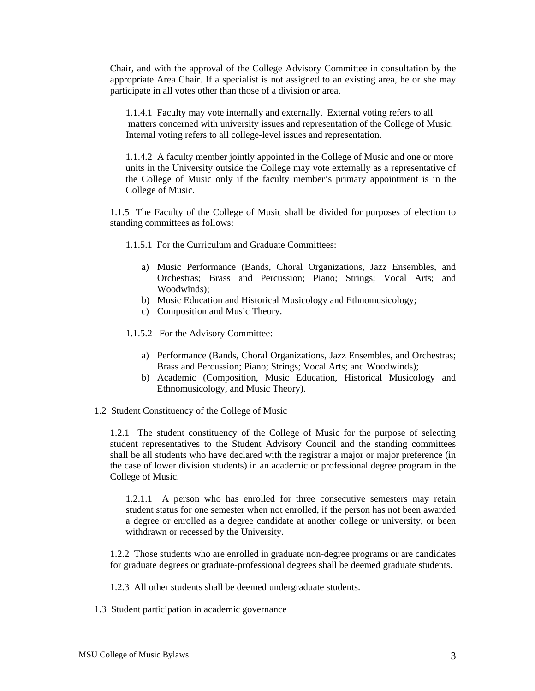Chair, and with the approval of the College Advisory Committee in consultation by the appropriate Area Chair. If a specialist is not assigned to an existing area, he or she may participate in all votes other than those of a division or area.

1.1.4.1 Faculty may vote internally and externally. External voting refers to all matters concerned with university issues and representation of the College of Music. Internal voting refers to all college-level issues and representation.

1.1.4.2 A faculty member jointly appointed in the College of Music and one or more units in the University outside the College may vote externally as a representative of the College of Music only if the faculty member's primary appointment is in the College of Music.

1.1.5 The Faculty of the College of Music shall be divided for purposes of election to standing committees as follows:

- 1.1.5.1 For the Curriculum and Graduate Committees:
	- a) Music Performance (Bands, Choral Organizations, Jazz Ensembles, and Orchestras; Brass and Percussion; Piano; Strings; Vocal Arts; and Woodwinds);
	- b) Music Education and Historical Musicology and Ethnomusicology;
	- c) Composition and Music Theory.
- 1.1.5.2 For the Advisory Committee:
	- a) Performance (Bands, Choral Organizations, Jazz Ensembles, and Orchestras; Brass and Percussion; Piano; Strings; Vocal Arts; and Woodwinds);
	- b) Academic (Composition, Music Education, Historical Musicology and Ethnomusicology, and Music Theory).
- 1.2 Student Constituency of the College of Music

1.2.1 The student constituency of the College of Music for the purpose of selecting student representatives to the Student Advisory Council and the standing committees shall be all students who have declared with the registrar a major or major preference (in the case of lower division students) in an academic or professional degree program in the College of Music.

1.2.1.1 A person who has enrolled for three consecutive semesters may retain student status for one semester when not enrolled, if the person has not been awarded a degree or enrolled as a degree candidate at another college or university, or been withdrawn or recessed by the University.

1.2.2 Those students who are enrolled in graduate non-degree programs or are candidates for graduate degrees or graduate-professional degrees shall be deemed graduate students.

1.2.3 All other students shall be deemed undergraduate students.

1.3 Student participation in academic governance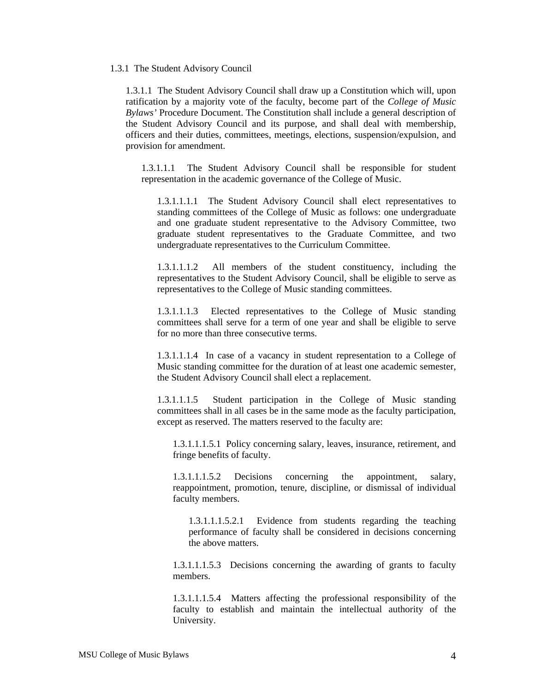#### 1.3.1 The Student Advisory Council

1.3.1.1 The Student Advisory Council shall draw up a Constitution which will, upon ratification by a majority vote of the faculty, become part of the *College of Music Bylaws'* Procedure Document. The Constitution shall include a general description of the Student Advisory Council and its purpose, and shall deal with membership, officers and their duties, committees, meetings, elections, suspension/expulsion, and provision for amendment.

1.3.1.1.1 The Student Advisory Council shall be responsible for student representation in the academic governance of the College of Music.

1.3.1.1.1.1 The Student Advisory Council shall elect representatives to standing committees of the College of Music as follows: one undergraduate and one graduate student representative to the Advisory Committee, two graduate student representatives to the Graduate Committee, and two undergraduate representatives to the Curriculum Committee.

1.3.1.1.1.2 All members of the student constituency, including the representatives to the Student Advisory Council, shall be eligible to serve as representatives to the College of Music standing committees.

1.3.1.1.1.3 Elected representatives to the College of Music standing committees shall serve for a term of one year and shall be eligible to serve for no more than three consecutive terms.

1.3.1.1.1.4 In case of a vacancy in student representation to a College of Music standing committee for the duration of at least one academic semester, the Student Advisory Council shall elect a replacement.

1.3.1.1.1.5 Student participation in the College of Music standing committees shall in all cases be in the same mode as the faculty participation, except as reserved. The matters reserved to the faculty are:

1.3.1.1.1.5.1 Policy concerning salary, leaves, insurance, retirement, and fringe benefits of faculty.

1.3.1.1.1.5.2 Decisions concerning the appointment, salary, reappointment, promotion, tenure, discipline, or dismissal of individual faculty members.

1.3.1.1.1.5.2.1 Evidence from students regarding the teaching performance of faculty shall be considered in decisions concerning the above matters.

1.3.1.1.1.5.3 Decisions concerning the awarding of grants to faculty members.

1.3.1.1.1.5.4 Matters affecting the professional responsibility of the faculty to establish and maintain the intellectual authority of the University.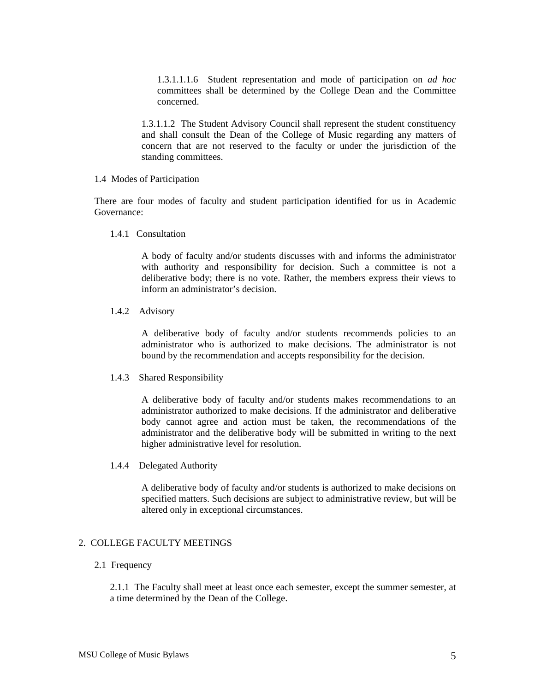1.3.1.1.1.6 Student representation and mode of participation on *ad hoc* committees shall be determined by the College Dean and the Committee concerned.

1.3.1.1.2 The Student Advisory Council shall represent the student constituency and shall consult the Dean of the College of Music regarding any matters of concern that are not reserved to the faculty or under the jurisdiction of the standing committees.

#### 1.4 Modes of Participation

There are four modes of faculty and student participation identified for us in Academic Governance:

1.4.1 Consultation

A body of faculty and/or students discusses with and informs the administrator with authority and responsibility for decision. Such a committee is not a deliberative body; there is no vote. Rather, the members express their views to inform an administrator's decision.

1.4.2 Advisory

A deliberative body of faculty and/or students recommends policies to an administrator who is authorized to make decisions. The administrator is not bound by the recommendation and accepts responsibility for the decision.

1.4.3 Shared Responsibility

A deliberative body of faculty and/or students makes recommendations to an administrator authorized to make decisions. If the administrator and deliberative body cannot agree and action must be taken, the recommendations of the administrator and the deliberative body will be submitted in writing to the next higher administrative level for resolution.

1.4.4 Delegated Authority

A deliberative body of faculty and/or students is authorized to make decisions on specified matters. Such decisions are subject to administrative review, but will be altered only in exceptional circumstances.

# 2. COLLEGE FACULTY MEETINGS

#### 2.1 Frequency

2.1.1 The Faculty shall meet at least once each semester, except the summer semester, at a time determined by the Dean of the College.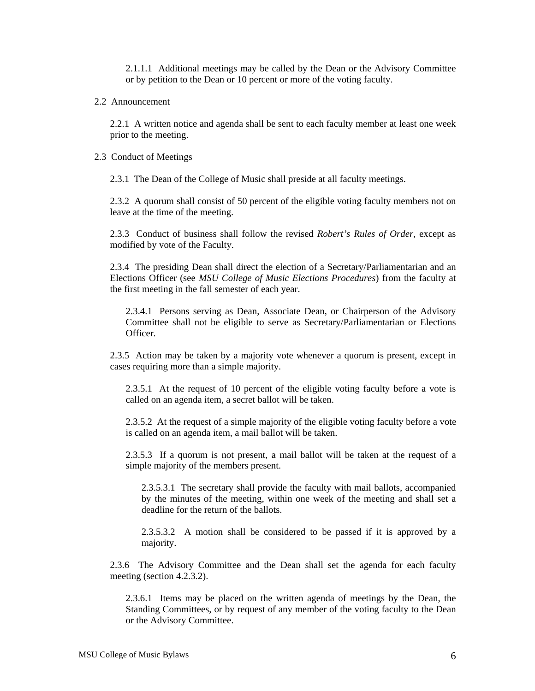2.1.1.1 Additional meetings may be called by the Dean or the Advisory Committee or by petition to the Dean or 10 percent or more of the voting faculty.

## 2.2 Announcement

2.2.1 A written notice and agenda shall be sent to each faculty member at least one week prior to the meeting.

#### 2.3 Conduct of Meetings

2.3.1 The Dean of the College of Music shall preside at all faculty meetings.

2.3.2 A quorum shall consist of 50 percent of the eligible voting faculty members not on leave at the time of the meeting.

2.3.3 Conduct of business shall follow the revised *Robert's Rules of Order*, except as modified by vote of the Faculty.

2.3.4 The presiding Dean shall direct the election of a Secretary/Parliamentarian and an Elections Officer (see *MSU College of Music Elections Procedures*) from the faculty at the first meeting in the fall semester of each year.

2.3.4.1 Persons serving as Dean, Associate Dean, or Chairperson of the Advisory Committee shall not be eligible to serve as Secretary/Parliamentarian or Elections **Officer** 

2.3.5 Action may be taken by a majority vote whenever a quorum is present, except in cases requiring more than a simple majority.

2.3.5.1 At the request of 10 percent of the eligible voting faculty before a vote is called on an agenda item, a secret ballot will be taken.

2.3.5.2 At the request of a simple majority of the eligible voting faculty before a vote is called on an agenda item, a mail ballot will be taken.

2.3.5.3 If a quorum is not present, a mail ballot will be taken at the request of a simple majority of the members present.

2.3.5.3.1 The secretary shall provide the faculty with mail ballots, accompanied by the minutes of the meeting, within one week of the meeting and shall set a deadline for the return of the ballots.

2.3.5.3.2 A motion shall be considered to be passed if it is approved by a majority.

2.3.6 The Advisory Committee and the Dean shall set the agenda for each faculty meeting (section 4.2.3.2).

2.3.6.1 Items may be placed on the written agenda of meetings by the Dean, the Standing Committees, or by request of any member of the voting faculty to the Dean or the Advisory Committee.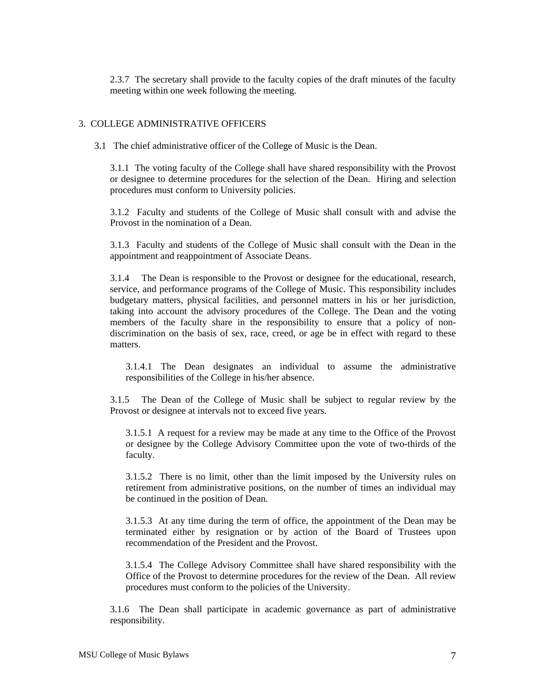2.3.7 The secretary shall provide to the faculty copies of the draft minutes of the faculty meeting within one week following the meeting.

### 3. COLLEGE ADMINISTRATIVE OFFICERS

3.1 The chief administrative officer of the College of Music is the Dean.

3.1.1 The voting faculty of the College shall have shared responsibility with the Provost or designee to determine procedures for the selection of the Dean. Hiring and selection procedures must conform to University policies.

3.1.2 Faculty and students of the College of Music shall consult with and advise the Provost in the nomination of a Dean.

3.1.3 Faculty and students of the College of Music shall consult with the Dean in the appointment and reappointment of Associate Deans.

3.1.4 The Dean is responsible to the Provost or designee for the educational, research, service, and performance programs of the College of Music. This responsibility includes budgetary matters, physical facilities, and personnel matters in his or her jurisdiction, taking into account the advisory procedures of the College. The Dean and the voting members of the faculty share in the responsibility to ensure that a policy of nondiscrimination on the basis of sex, race, creed, or age be in effect with regard to these matters.

3.1.4.1 The Dean designates an individual to assume the administrative responsibilities of the College in his/her absence.

3.1.5 The Dean of the College of Music shall be subject to regular review by the Provost or designee at intervals not to exceed five years.

3.1.5.1 A request for a review may be made at any time to the Office of the Provost or designee by the College Advisory Committee upon the vote of two-thirds of the faculty.

3.1.5.2 There is no limit, other than the limit imposed by the University rules on retirement from administrative positions, on the number of times an individual may be continued in the position of Dean.

3.1.5.3 At any time during the term of office, the appointment of the Dean may be terminated either by resignation or by action of the Board of Trustees upon recommendation of the President and the Provost.

3.1.5.4 The College Advisory Committee shall have shared responsibility with the Office of the Provost to determine procedures for the review of the Dean. All review procedures must conform to the policies of the University.

3.1.6 The Dean shall participate in academic governance as part of administrative responsibility.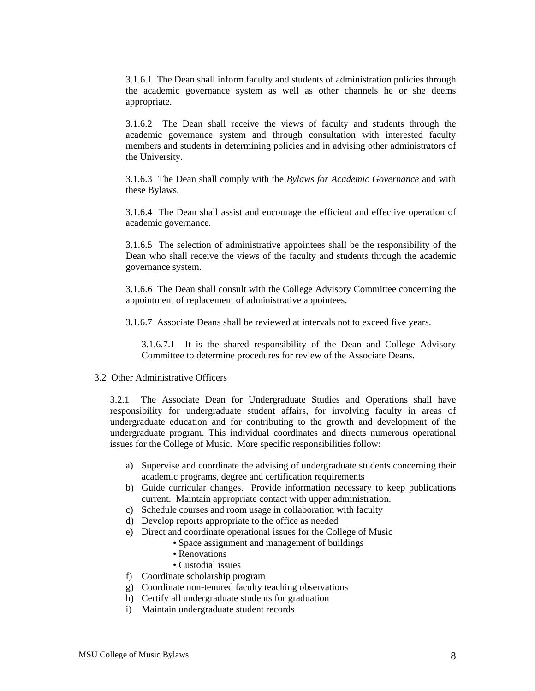3.1.6.1 The Dean shall inform faculty and students of administration policies through the academic governance system as well as other channels he or she deems appropriate.

3.1.6.2 The Dean shall receive the views of faculty and students through the academic governance system and through consultation with interested faculty members and students in determining policies and in advising other administrators of the University.

3.1.6.3 The Dean shall comply with the *Bylaws for Academic Governance* and with these Bylaws.

3.1.6.4 The Dean shall assist and encourage the efficient and effective operation of academic governance.

3.1.6.5 The selection of administrative appointees shall be the responsibility of the Dean who shall receive the views of the faculty and students through the academic governance system.

3.1.6.6 The Dean shall consult with the College Advisory Committee concerning the appointment of replacement of administrative appointees.

3.1.6.7 Associate Deans shall be reviewed at intervals not to exceed five years.

3.1.6.7.1 It is the shared responsibility of the Dean and College Advisory Committee to determine procedures for review of the Associate Deans.

#### 3.2 Other Administrative Officers

3.2.1 The Associate Dean for Undergraduate Studies and Operations shall have responsibility for undergraduate student affairs, for involving faculty in areas of undergraduate education and for contributing to the growth and development of the undergraduate program. This individual coordinates and directs numerous operational issues for the College of Music. More specific responsibilities follow:

- a) Supervise and coordinate the advising of undergraduate students concerning their academic programs, degree and certification requirements
- b) Guide curricular changes. Provide information necessary to keep publications current. Maintain appropriate contact with upper administration.
- c) Schedule courses and room usage in collaboration with faculty
- d) Develop reports appropriate to the office as needed
- e) Direct and coordinate operational issues for the College of Music
	- Space assignment and management of buildings
		- Renovations
		- Custodial issues
- f) Coordinate scholarship program
- g) Coordinate non-tenured faculty teaching observations
- h) Certify all undergraduate students for graduation
- i) Maintain undergraduate student records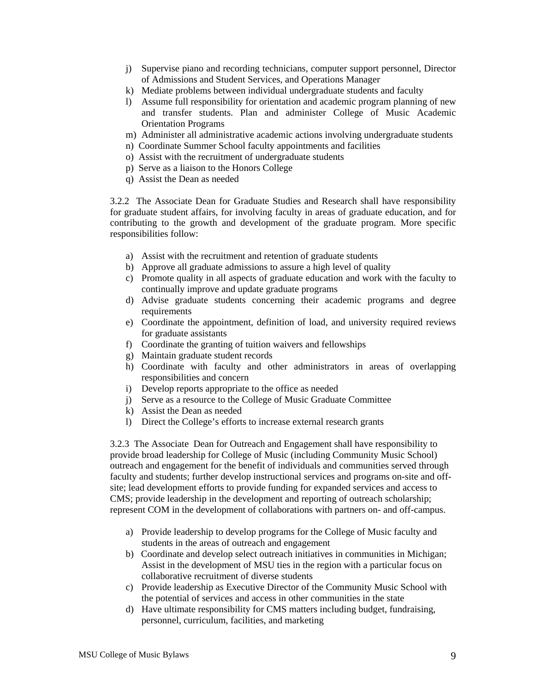- j) Supervise piano and recording technicians, computer support personnel, Director of Admissions and Student Services, and Operations Manager
- k) Mediate problems between individual undergraduate students and faculty
- l) Assume full responsibility for orientation and academic program planning of new and transfer students. Plan and administer College of Music Academic Orientation Programs
- m) Administer all administrative academic actions involving undergraduate students
- n) Coordinate Summer School faculty appointments and facilities
- o) Assist with the recruitment of undergraduate students
- p) Serve as a liaison to the Honors College
- q) Assist the Dean as needed

3.2.2 The Associate Dean for Graduate Studies and Research shall have responsibility for graduate student affairs, for involving faculty in areas of graduate education, and for contributing to the growth and development of the graduate program. More specific responsibilities follow:

- a) Assist with the recruitment and retention of graduate students
- b) Approve all graduate admissions to assure a high level of quality
- c) Promote quality in all aspects of graduate education and work with the faculty to continually improve and update graduate programs
- d) Advise graduate students concerning their academic programs and degree requirements
- e) Coordinate the appointment, definition of load, and university required reviews for graduate assistants
- f) Coordinate the granting of tuition waivers and fellowships
- g) Maintain graduate student records
- h) Coordinate with faculty and other administrators in areas of overlapping responsibilities and concern
- i) Develop reports appropriate to the office as needed
- j) Serve as a resource to the College of Music Graduate Committee
- k) Assist the Dean as needed
- l) Direct the College's efforts to increase external research grants

3.2.3 The Associate Dean for Outreach and Engagement shall have responsibility to provide broad leadership for College of Music (including Community Music School) outreach and engagement for the benefit of individuals and communities served through faculty and students; further develop instructional services and programs on-site and offsite; lead development efforts to provide funding for expanded services and access to CMS; provide leadership in the development and reporting of outreach scholarship; represent COM in the development of collaborations with partners on- and off-campus.

- a) Provide leadership to develop programs for the College of Music faculty and students in the areas of outreach and engagement
- b) Coordinate and develop select outreach initiatives in communities in Michigan; Assist in the development of MSU ties in the region with a particular focus on collaborative recruitment of diverse students
- c) Provide leadership as Executive Director of the Community Music School with the potential of services and access in other communities in the state
- d) Have ultimate responsibility for CMS matters including budget, fundraising, personnel, curriculum, facilities, and marketing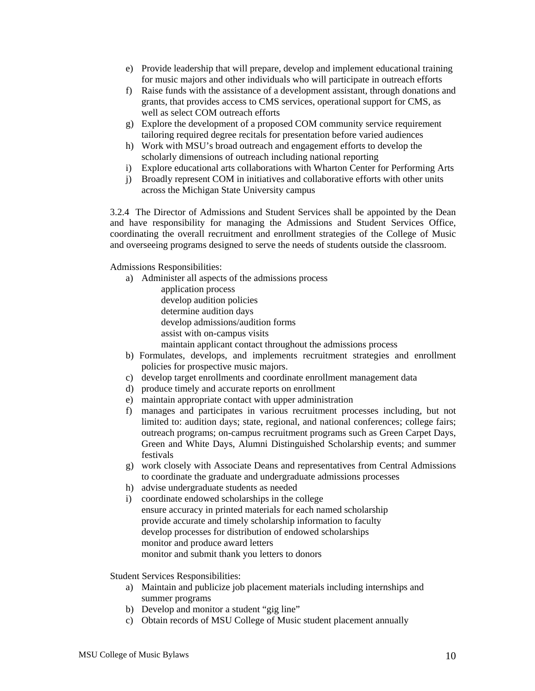- e) Provide leadership that will prepare, develop and implement educational training for music majors and other individuals who will participate in outreach efforts
- f) Raise funds with the assistance of a development assistant, through donations and grants, that provides access to CMS services, operational support for CMS, as well as select COM outreach efforts
- g) Explore the development of a proposed COM community service requirement tailoring required degree recitals for presentation before varied audiences
- h) Work with MSU's broad outreach and engagement efforts to develop the scholarly dimensions of outreach including national reporting
- i) Explore educational arts collaborations with Wharton Center for Performing Arts
- j) Broadly represent COM in initiatives and collaborative efforts with other units across the Michigan State University campus

3.2.4 The Director of Admissions and Student Services shall be appointed by the Dean and have responsibility for managing the Admissions and Student Services Office, coordinating the overall recruitment and enrollment strategies of the College of Music and overseeing programs designed to serve the needs of students outside the classroom.

Admissions Responsibilities:

- a) Administer all aspects of the admissions process application process develop audition policies determine audition days develop admissions/audition forms assist with on-campus visits maintain applicant contact throughout the admissions process
- b) Formulates, develops, and implements recruitment strategies and enrollment policies for prospective music majors.
- c) develop target enrollments and coordinate enrollment management data
- d) produce timely and accurate reports on enrollment
- e) maintain appropriate contact with upper administration
- f) manages and participates in various recruitment processes including, but not limited to: audition days; state, regional, and national conferences; college fairs; outreach programs; on-campus recruitment programs such as Green Carpet Days, Green and White Days, Alumni Distinguished Scholarship events; and summer festivals
- g) work closely with Associate Deans and representatives from Central Admissions to coordinate the graduate and undergraduate admissions processes
- h) advise undergraduate students as needed
- i) coordinate endowed scholarships in the college ensure accuracy in printed materials for each named scholarship provide accurate and timely scholarship information to faculty develop processes for distribution of endowed scholarships monitor and produce award letters monitor and submit thank you letters to donors

Student Services Responsibilities:

- a) Maintain and publicize job placement materials including internships and summer programs
- b) Develop and monitor a student "gig line"
- c) Obtain records of MSU College of Music student placement annually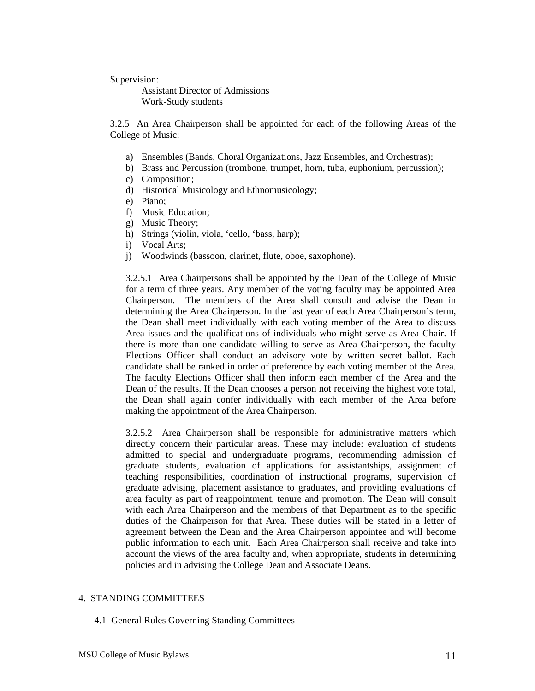Supervision:

 Assistant Director of Admissions Work-Study students

3.2.5 An Area Chairperson shall be appointed for each of the following Areas of the College of Music:

- a) Ensembles (Bands, Choral Organizations, Jazz Ensembles, and Orchestras);
- b) Brass and Percussion (trombone, trumpet, horn, tuba, euphonium, percussion);
- c) Composition;
- d) Historical Musicology and Ethnomusicology;
- e) Piano;
- f) Music Education;
- g) Music Theory;
- h) Strings (violin, viola, 'cello, 'bass, harp);
- i) Vocal Arts;
- j) Woodwinds (bassoon, clarinet, flute, oboe, saxophone).

3.2.5.1 Area Chairpersons shall be appointed by the Dean of the College of Music for a term of three years. Any member of the voting faculty may be appointed Area Chairperson. The members of the Area shall consult and advise the Dean in determining the Area Chairperson. In the last year of each Area Chairperson's term, the Dean shall meet individually with each voting member of the Area to discuss Area issues and the qualifications of individuals who might serve as Area Chair. If there is more than one candidate willing to serve as Area Chairperson, the faculty Elections Officer shall conduct an advisory vote by written secret ballot. Each candidate shall be ranked in order of preference by each voting member of the Area. The faculty Elections Officer shall then inform each member of the Area and the Dean of the results. If the Dean chooses a person not receiving the highest vote total, the Dean shall again confer individually with each member of the Area before making the appointment of the Area Chairperson.

3.2.5.2 Area Chairperson shall be responsible for administrative matters which directly concern their particular areas. These may include: evaluation of students admitted to special and undergraduate programs, recommending admission of graduate students, evaluation of applications for assistantships, assignment of teaching responsibilities, coordination of instructional programs, supervision of graduate advising, placement assistance to graduates, and providing evaluations of area faculty as part of reappointment, tenure and promotion. The Dean will consult with each Area Chairperson and the members of that Department as to the specific duties of the Chairperson for that Area. These duties will be stated in a letter of agreement between the Dean and the Area Chairperson appointee and will become public information to each unit. Each Area Chairperson shall receive and take into account the views of the area faculty and, when appropriate, students in determining policies and in advising the College Dean and Associate Deans.

### 4. STANDING COMMITTEES

4.1 General Rules Governing Standing Committees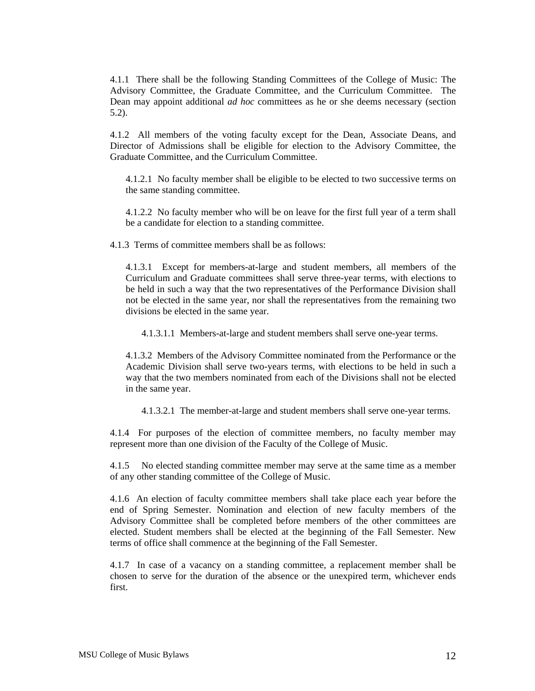4.1.1 There shall be the following Standing Committees of the College of Music: The Advisory Committee, the Graduate Committee, and the Curriculum Committee. The Dean may appoint additional *ad hoc* committees as he or she deems necessary (section 5.2).

4.1.2 All members of the voting faculty except for the Dean, Associate Deans, and Director of Admissions shall be eligible for election to the Advisory Committee, the Graduate Committee, and the Curriculum Committee.

4.1.2.1 No faculty member shall be eligible to be elected to two successive terms on the same standing committee.

4.1.2.2 No faculty member who will be on leave for the first full year of a term shall be a candidate for election to a standing committee.

4.1.3 Terms of committee members shall be as follows:

4.1.3.1 Except for members-at-large and student members, all members of the Curriculum and Graduate committees shall serve three-year terms, with elections to be held in such a way that the two representatives of the Performance Division shall not be elected in the same year, nor shall the representatives from the remaining two divisions be elected in the same year.

4.1.3.1.1 Members-at-large and student members shall serve one-year terms.

4.1.3.2 Members of the Advisory Committee nominated from the Performance or the Academic Division shall serve two-years terms, with elections to be held in such a way that the two members nominated from each of the Divisions shall not be elected in the same year.

4.1.3.2.1 The member-at-large and student members shall serve one-year terms.

4.1.4 For purposes of the election of committee members, no faculty member may represent more than one division of the Faculty of the College of Music.

4.1.5 No elected standing committee member may serve at the same time as a member of any other standing committee of the College of Music.

4.1.6 An election of faculty committee members shall take place each year before the end of Spring Semester. Nomination and election of new faculty members of the Advisory Committee shall be completed before members of the other committees are elected. Student members shall be elected at the beginning of the Fall Semester. New terms of office shall commence at the beginning of the Fall Semester.

4.1.7 In case of a vacancy on a standing committee, a replacement member shall be chosen to serve for the duration of the absence or the unexpired term, whichever ends first.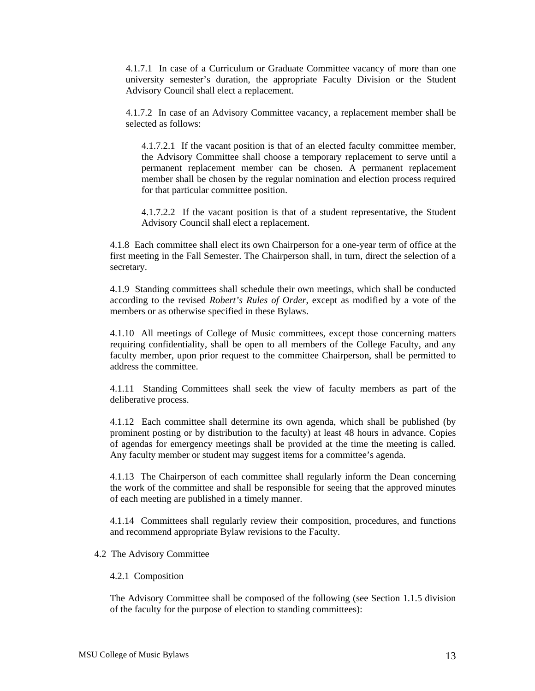4.1.7.1 In case of a Curriculum or Graduate Committee vacancy of more than one university semester's duration, the appropriate Faculty Division or the Student Advisory Council shall elect a replacement.

4.1.7.2 In case of an Advisory Committee vacancy, a replacement member shall be selected as follows:

4.1.7.2.1 If the vacant position is that of an elected faculty committee member, the Advisory Committee shall choose a temporary replacement to serve until a permanent replacement member can be chosen. A permanent replacement member shall be chosen by the regular nomination and election process required for that particular committee position.

4.1.7.2.2 If the vacant position is that of a student representative, the Student Advisory Council shall elect a replacement.

4.1.8 Each committee shall elect its own Chairperson for a one-year term of office at the first meeting in the Fall Semester. The Chairperson shall, in turn, direct the selection of a secretary.

4.1.9 Standing committees shall schedule their own meetings, which shall be conducted according to the revised *Robert's Rules of Order*, except as modified by a vote of the members or as otherwise specified in these Bylaws.

4.1.10 All meetings of College of Music committees, except those concerning matters requiring confidentiality, shall be open to all members of the College Faculty, and any faculty member, upon prior request to the committee Chairperson, shall be permitted to address the committee.

4.1.11 Standing Committees shall seek the view of faculty members as part of the deliberative process.

4.1.12 Each committee shall determine its own agenda, which shall be published (by prominent posting or by distribution to the faculty) at least 48 hours in advance. Copies of agendas for emergency meetings shall be provided at the time the meeting is called. Any faculty member or student may suggest items for a committee's agenda.

4.1.13 The Chairperson of each committee shall regularly inform the Dean concerning the work of the committee and shall be responsible for seeing that the approved minutes of each meeting are published in a timely manner.

4.1.14 Committees shall regularly review their composition, procedures, and functions and recommend appropriate Bylaw revisions to the Faculty.

4.2 The Advisory Committee

#### 4.2.1 Composition

The Advisory Committee shall be composed of the following (see Section 1.1.5 division of the faculty for the purpose of election to standing committees):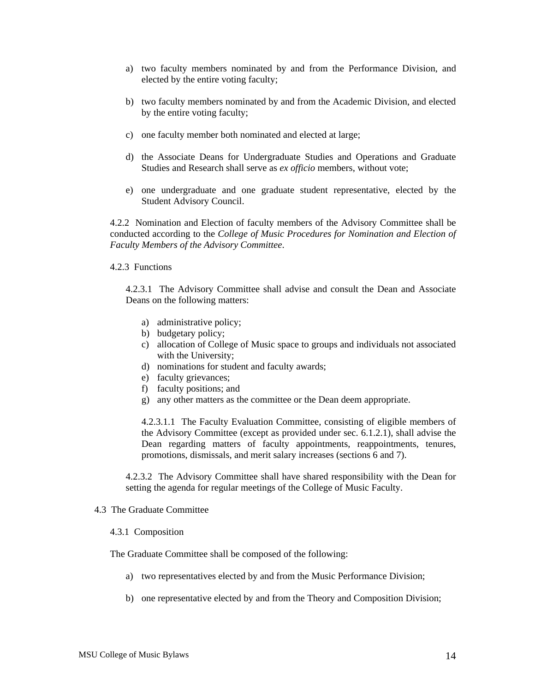- a) two faculty members nominated by and from the Performance Division, and elected by the entire voting faculty;
- b) two faculty members nominated by and from the Academic Division, and elected by the entire voting faculty;
- c) one faculty member both nominated and elected at large;
- d) the Associate Deans for Undergraduate Studies and Operations and Graduate Studies and Research shall serve as *ex officio* members, without vote;
- e) one undergraduate and one graduate student representative, elected by the Student Advisory Council.

4.2.2 Nomination and Election of faculty members of the Advisory Committee shall be conducted according to the *College of Music Procedures for Nomination and Election of Faculty Members of the Advisory Committee*.

#### 4.2.3 Functions

4.2.3.1 The Advisory Committee shall advise and consult the Dean and Associate Deans on the following matters:

- a) administrative policy;
- b) budgetary policy;
- c) allocation of College of Music space to groups and individuals not associated with the University;
- d) nominations for student and faculty awards;
- e) faculty grievances;
- f) faculty positions; and
- g) any other matters as the committee or the Dean deem appropriate.

4.2.3.1.1 The Faculty Evaluation Committee, consisting of eligible members of the Advisory Committee (except as provided under sec. 6.1.2.1), shall advise the Dean regarding matters of faculty appointments, reappointments, tenures, promotions, dismissals, and merit salary increases (sections 6 and 7).

4.2.3.2 The Advisory Committee shall have shared responsibility with the Dean for setting the agenda for regular meetings of the College of Music Faculty.

## 4.3 The Graduate Committee

#### 4.3.1 Composition

The Graduate Committee shall be composed of the following:

- a) two representatives elected by and from the Music Performance Division;
- b) one representative elected by and from the Theory and Composition Division;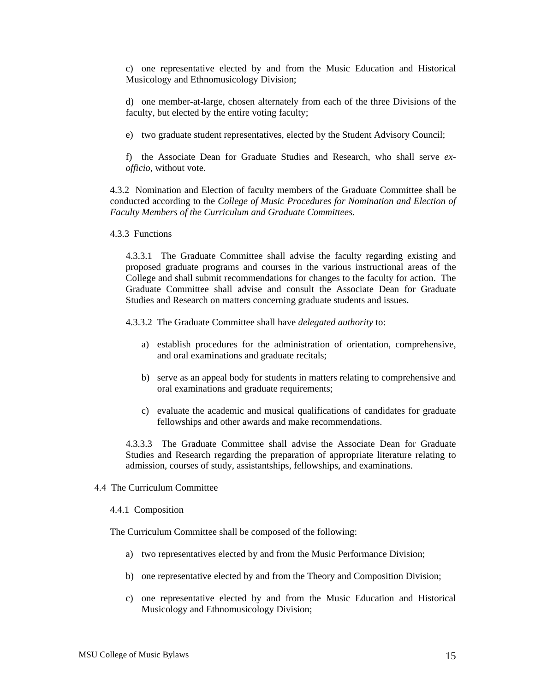c) one representative elected by and from the Music Education and Historical Musicology and Ethnomusicology Division;

d) one member-at-large, chosen alternately from each of the three Divisions of the faculty, but elected by the entire voting faculty;

e) two graduate student representatives, elected by the Student Advisory Council;

f) the Associate Dean for Graduate Studies and Research, who shall serve *exofficio*, without vote.

4.3.2 Nomination and Election of faculty members of the Graduate Committee shall be conducted according to the *College of Music Procedures for Nomination and Election of Faculty Members of the Curriculum and Graduate Committees*.

4.3.3 Functions

4.3.3.1 The Graduate Committee shall advise the faculty regarding existing and proposed graduate programs and courses in the various instructional areas of the College and shall submit recommendations for changes to the faculty for action. The Graduate Committee shall advise and consult the Associate Dean for Graduate Studies and Research on matters concerning graduate students and issues.

4.3.3.2 The Graduate Committee shall have *delegated authority* to:

- a) establish procedures for the administration of orientation, comprehensive, and oral examinations and graduate recitals;
- b) serve as an appeal body for students in matters relating to comprehensive and oral examinations and graduate requirements;
- c) evaluate the academic and musical qualifications of candidates for graduate fellowships and other awards and make recommendations.

4.3.3.3 The Graduate Committee shall advise the Associate Dean for Graduate Studies and Research regarding the preparation of appropriate literature relating to admission, courses of study, assistantships, fellowships, and examinations.

4.4 The Curriculum Committee

#### 4.4.1 Composition

The Curriculum Committee shall be composed of the following:

- a) two representatives elected by and from the Music Performance Division;
- b) one representative elected by and from the Theory and Composition Division;
- c) one representative elected by and from the Music Education and Historical Musicology and Ethnomusicology Division;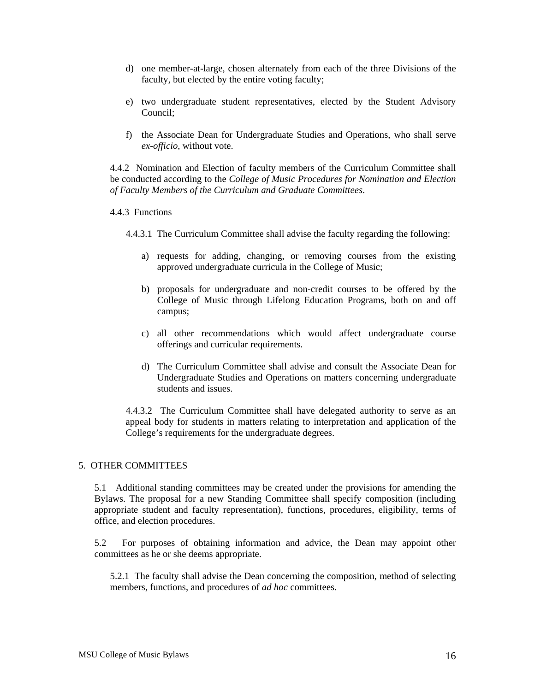- d) one member-at-large, chosen alternately from each of the three Divisions of the faculty, but elected by the entire voting faculty;
- e) two undergraduate student representatives, elected by the Student Advisory Council;
- f) the Associate Dean for Undergraduate Studies and Operations, who shall serve *ex-officio*, without vote.

4.4.2 Nomination and Election of faculty members of the Curriculum Committee shall be conducted according to the *College of Music Procedures for Nomination and Election of Faculty Members of the Curriculum and Graduate Committees*.

## 4.4.3 Functions

- 4.4.3.1 The Curriculum Committee shall advise the faculty regarding the following:
	- a) requests for adding, changing, or removing courses from the existing approved undergraduate curricula in the College of Music;
	- b) proposals for undergraduate and non-credit courses to be offered by the College of Music through Lifelong Education Programs, both on and off campus;
	- c) all other recommendations which would affect undergraduate course offerings and curricular requirements.
	- d) The Curriculum Committee shall advise and consult the Associate Dean for Undergraduate Studies and Operations on matters concerning undergraduate students and issues.

4.4.3.2 The Curriculum Committee shall have delegated authority to serve as an appeal body for students in matters relating to interpretation and application of the College's requirements for the undergraduate degrees.

## 5. OTHER COMMITTEES

5.1 Additional standing committees may be created under the provisions for amending the Bylaws. The proposal for a new Standing Committee shall specify composition (including appropriate student and faculty representation), functions, procedures, eligibility, terms of office, and election procedures.

5.2 For purposes of obtaining information and advice, the Dean may appoint other committees as he or she deems appropriate.

5.2.1 The faculty shall advise the Dean concerning the composition, method of selecting members, functions, and procedures of *ad hoc* committees.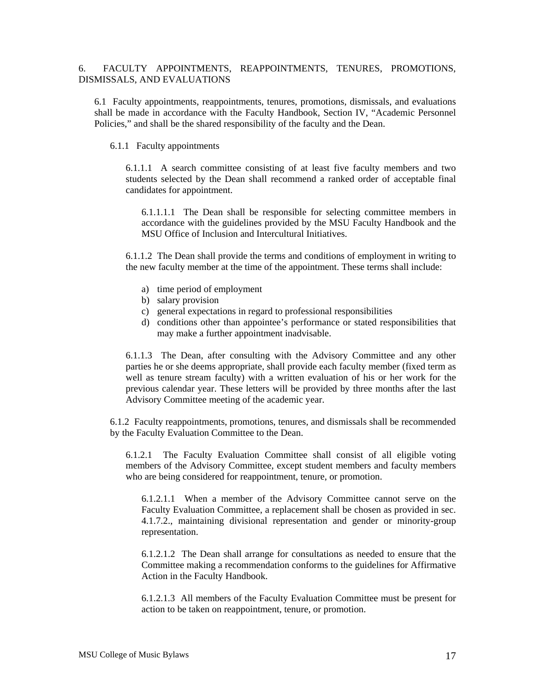# 6. FACULTY APPOINTMENTS, REAPPOINTMENTS, TENURES, PROMOTIONS, DISMISSALS, AND EVALUATIONS

6.1 Faculty appointments, reappointments, tenures, promotions, dismissals, and evaluations shall be made in accordance with the Faculty Handbook, Section IV, "Academic Personnel Policies," and shall be the shared responsibility of the faculty and the Dean.

### 6.1.1 Faculty appointments

6.1.1.1 A search committee consisting of at least five faculty members and two students selected by the Dean shall recommend a ranked order of acceptable final candidates for appointment.

6.1.1.1.1 The Dean shall be responsible for selecting committee members in accordance with the guidelines provided by the MSU Faculty Handbook and the MSU Office of Inclusion and Intercultural Initiatives.

6.1.1.2 The Dean shall provide the terms and conditions of employment in writing to the new faculty member at the time of the appointment. These terms shall include:

- a) time period of employment
- b) salary provision
- c) general expectations in regard to professional responsibilities
- d) conditions other than appointee's performance or stated responsibilities that may make a further appointment inadvisable.

6.1.1.3 The Dean, after consulting with the Advisory Committee and any other parties he or she deems appropriate, shall provide each faculty member (fixed term as well as tenure stream faculty) with a written evaluation of his or her work for the previous calendar year. These letters will be provided by three months after the last Advisory Committee meeting of the academic year.

6.1.2 Faculty reappointments, promotions, tenures, and dismissals shall be recommended by the Faculty Evaluation Committee to the Dean.

6.1.2.1 The Faculty Evaluation Committee shall consist of all eligible voting members of the Advisory Committee, except student members and faculty members who are being considered for reappointment, tenure, or promotion.

6.1.2.1.1 When a member of the Advisory Committee cannot serve on the Faculty Evaluation Committee, a replacement shall be chosen as provided in sec. 4.1.7.2., maintaining divisional representation and gender or minority-group representation.

6.1.2.1.2 The Dean shall arrange for consultations as needed to ensure that the Committee making a recommendation conforms to the guidelines for Affirmative Action in the Faculty Handbook.

6.1.2.1.3 All members of the Faculty Evaluation Committee must be present for action to be taken on reappointment, tenure, or promotion.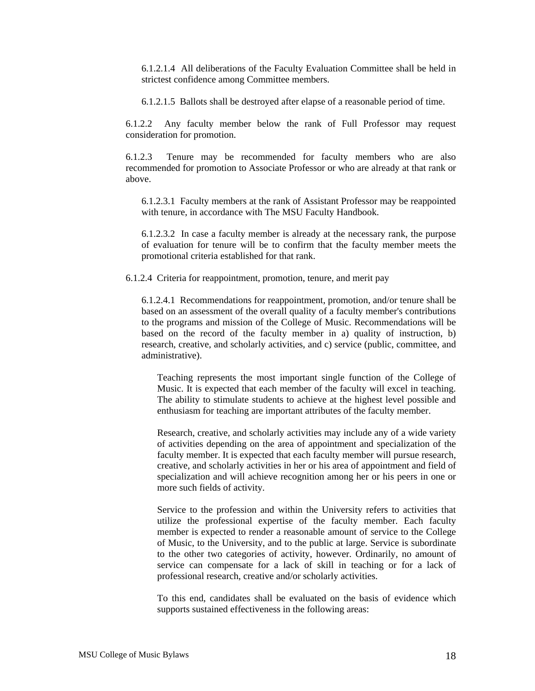6.1.2.1.4 All deliberations of the Faculty Evaluation Committee shall be held in strictest confidence among Committee members.

6.1.2.1.5 Ballots shall be destroyed after elapse of a reasonable period of time.

6.1.2.2 Any faculty member below the rank of Full Professor may request consideration for promotion.

6.1.2.3 Tenure may be recommended for faculty members who are also recommended for promotion to Associate Professor or who are already at that rank or above.

6.1.2.3.1 Faculty members at the rank of Assistant Professor may be reappointed with tenure, in accordance with The MSU Faculty Handbook.

6.1.2.3.2 In case a faculty member is already at the necessary rank, the purpose of evaluation for tenure will be to confirm that the faculty member meets the promotional criteria established for that rank.

6.1.2.4 Criteria for reappointment, promotion, tenure, and merit pay

6.1.2.4.1 Recommendations for reappointment, promotion, and/or tenure shall be based on an assessment of the overall quality of a faculty member's contributions to the programs and mission of the College of Music. Recommendations will be based on the record of the faculty member in a) quality of instruction, b) research, creative, and scholarly activities, and c) service (public, committee, and administrative).

Teaching represents the most important single function of the College of Music. It is expected that each member of the faculty will excel in teaching. The ability to stimulate students to achieve at the highest level possible and enthusiasm for teaching are important attributes of the faculty member.

Research, creative, and scholarly activities may include any of a wide variety of activities depending on the area of appointment and specialization of the faculty member. It is expected that each faculty member will pursue research, creative, and scholarly activities in her or his area of appointment and field of specialization and will achieve recognition among her or his peers in one or more such fields of activity.

Service to the profession and within the University refers to activities that utilize the professional expertise of the faculty member. Each faculty member is expected to render a reasonable amount of service to the College of Music, to the University, and to the public at large. Service is subordinate to the other two categories of activity, however. Ordinarily, no amount of service can compensate for a lack of skill in teaching or for a lack of professional research, creative and/or scholarly activities.

To this end, candidates shall be evaluated on the basis of evidence which supports sustained effectiveness in the following areas: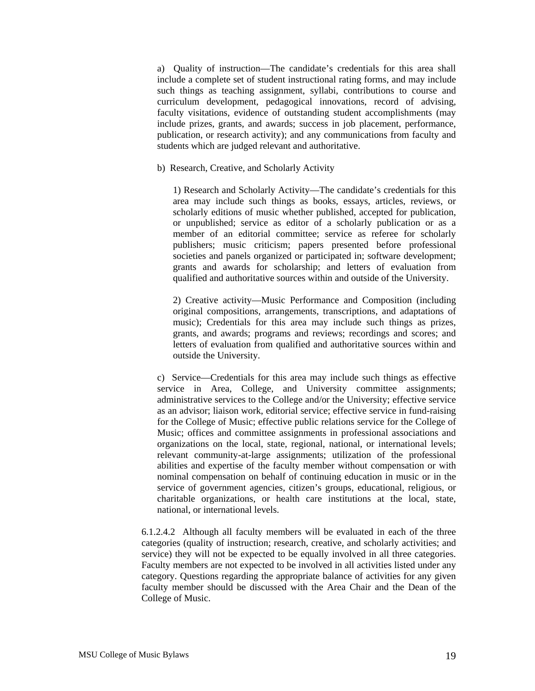a) Quality of instruction—The candidate's credentials for this area shall include a complete set of student instructional rating forms, and may include such things as teaching assignment, syllabi, contributions to course and curriculum development, pedagogical innovations, record of advising, faculty visitations, evidence of outstanding student accomplishments (may include prizes, grants, and awards; success in job placement, performance, publication, or research activity); and any communications from faculty and students which are judged relevant and authoritative.

b) Research, Creative, and Scholarly Activity

1) Research and Scholarly Activity—The candidate's credentials for this area may include such things as books, essays, articles, reviews, or scholarly editions of music whether published, accepted for publication, or unpublished; service as editor of a scholarly publication or as a member of an editorial committee; service as referee for scholarly publishers; music criticism; papers presented before professional societies and panels organized or participated in; software development; grants and awards for scholarship; and letters of evaluation from qualified and authoritative sources within and outside of the University.

2) Creative activity—Music Performance and Composition (including original compositions, arrangements, transcriptions, and adaptations of music); Credentials for this area may include such things as prizes, grants, and awards; programs and reviews; recordings and scores; and letters of evaluation from qualified and authoritative sources within and outside the University.

c) Service—Credentials for this area may include such things as effective service in Area, College, and University committee assignments; administrative services to the College and/or the University; effective service as an advisor; liaison work, editorial service; effective service in fund-raising for the College of Music; effective public relations service for the College of Music; offices and committee assignments in professional associations and organizations on the local, state, regional, national, or international levels; relevant community-at-large assignments; utilization of the professional abilities and expertise of the faculty member without compensation or with nominal compensation on behalf of continuing education in music or in the service of government agencies, citizen's groups, educational, religious, or charitable organizations, or health care institutions at the local, state, national, or international levels.

6.1.2.4.2 Although all faculty members will be evaluated in each of the three categories (quality of instruction; research, creative, and scholarly activities; and service) they will not be expected to be equally involved in all three categories. Faculty members are not expected to be involved in all activities listed under any category. Questions regarding the appropriate balance of activities for any given faculty member should be discussed with the Area Chair and the Dean of the College of Music.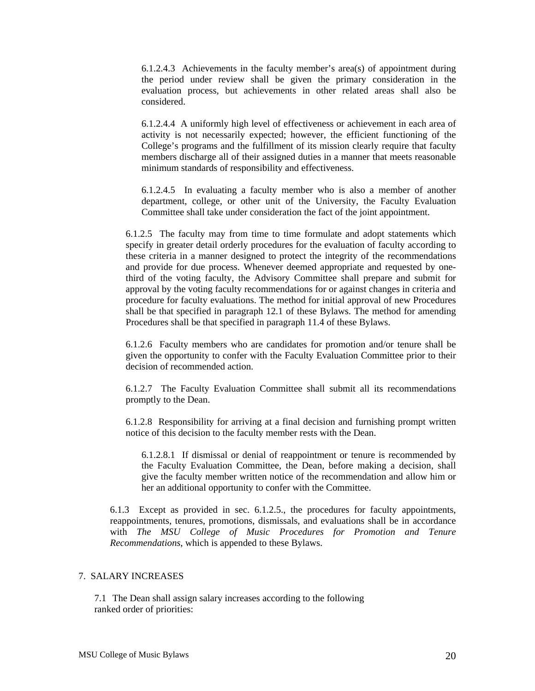6.1.2.4.3 Achievements in the faculty member's area(s) of appointment during the period under review shall be given the primary consideration in the evaluation process, but achievements in other related areas shall also be considered.

6.1.2.4.4 A uniformly high level of effectiveness or achievement in each area of activity is not necessarily expected; however, the efficient functioning of the College's programs and the fulfillment of its mission clearly require that faculty members discharge all of their assigned duties in a manner that meets reasonable minimum standards of responsibility and effectiveness.

6.1.2.4.5 In evaluating a faculty member who is also a member of another department, college, or other unit of the University, the Faculty Evaluation Committee shall take under consideration the fact of the joint appointment.

6.1.2.5 The faculty may from time to time formulate and adopt statements which specify in greater detail orderly procedures for the evaluation of faculty according to these criteria in a manner designed to protect the integrity of the recommendations and provide for due process. Whenever deemed appropriate and requested by onethird of the voting faculty, the Advisory Committee shall prepare and submit for approval by the voting faculty recommendations for or against changes in criteria and procedure for faculty evaluations. The method for initial approval of new Procedures shall be that specified in paragraph 12.1 of these Bylaws. The method for amending Procedures shall be that specified in paragraph 11.4 of these Bylaws.

6.1.2.6 Faculty members who are candidates for promotion and/or tenure shall be given the opportunity to confer with the Faculty Evaluation Committee prior to their decision of recommended action.

6.1.2.7 The Faculty Evaluation Committee shall submit all its recommendations promptly to the Dean.

6.1.2.8 Responsibility for arriving at a final decision and furnishing prompt written notice of this decision to the faculty member rests with the Dean.

6.1.2.8.1 If dismissal or denial of reappointment or tenure is recommended by the Faculty Evaluation Committee, the Dean, before making a decision, shall give the faculty member written notice of the recommendation and allow him or her an additional opportunity to confer with the Committee.

6.1.3 Except as provided in sec. 6.1.2.5., the procedures for faculty appointments, reappointments, tenures, promotions, dismissals, and evaluations shall be in accordance with *The MSU College of Music Procedures for Promotion and Tenure Recommendations*, which is appended to these Bylaws.

# 7. SALARY INCREASES

7.1 The Dean shall assign salary increases according to the following ranked order of priorities: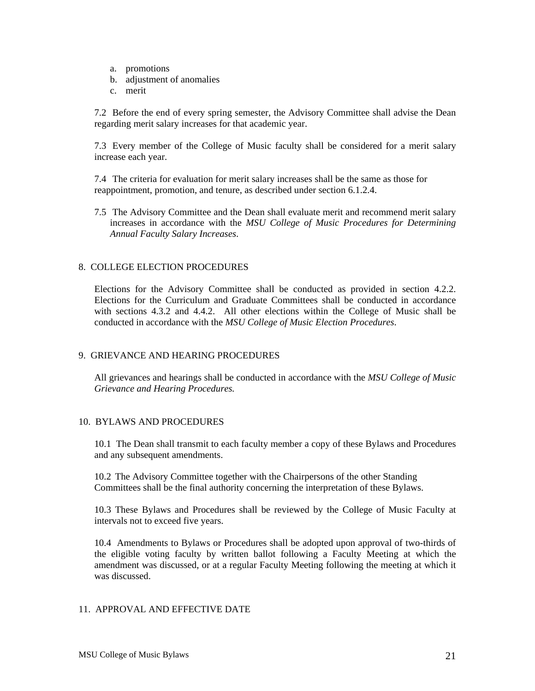- a. promotions
- b. adjustment of anomalies
- c. merit

7.2 Before the end of every spring semester, the Advisory Committee shall advise the Dean regarding merit salary increases for that academic year.

7.3 Every member of the College of Music faculty shall be considered for a merit salary increase each year.

7.4 The criteria for evaluation for merit salary increases shall be the same as those for reappointment, promotion, and tenure, as described under section 6.1.2.4.

7.5 The Advisory Committee and the Dean shall evaluate merit and recommend merit salary increases in accordance with the *MSU College of Music Procedures for Determining Annual Faculty Salary Increases*.

# 8. COLLEGE ELECTION PROCEDURES

Elections for the Advisory Committee shall be conducted as provided in section 4.2.2. Elections for the Curriculum and Graduate Committees shall be conducted in accordance with sections 4.3.2 and 4.4.2. All other elections within the College of Music shall be conducted in accordance with the *MSU College of Music Election Procedures*.

# 9. GRIEVANCE AND HEARING PROCEDURES

All grievances and hearings shall be conducted in accordance with the *MSU College of Music Grievance and Hearing Procedures.* 

# 10. BYLAWS AND PROCEDURES

10.1 The Dean shall transmit to each faculty member a copy of these Bylaws and Procedures and any subsequent amendments.

10.2 The Advisory Committee together with the Chairpersons of the other Standing Committees shall be the final authority concerning the interpretation of these Bylaws.

10.3 These Bylaws and Procedures shall be reviewed by the College of Music Faculty at intervals not to exceed five years.

10.4 Amendments to Bylaws or Procedures shall be adopted upon approval of two-thirds of the eligible voting faculty by written ballot following a Faculty Meeting at which the amendment was discussed, or at a regular Faculty Meeting following the meeting at which it was discussed.

# 11. APPROVAL AND EFFECTIVE DATE